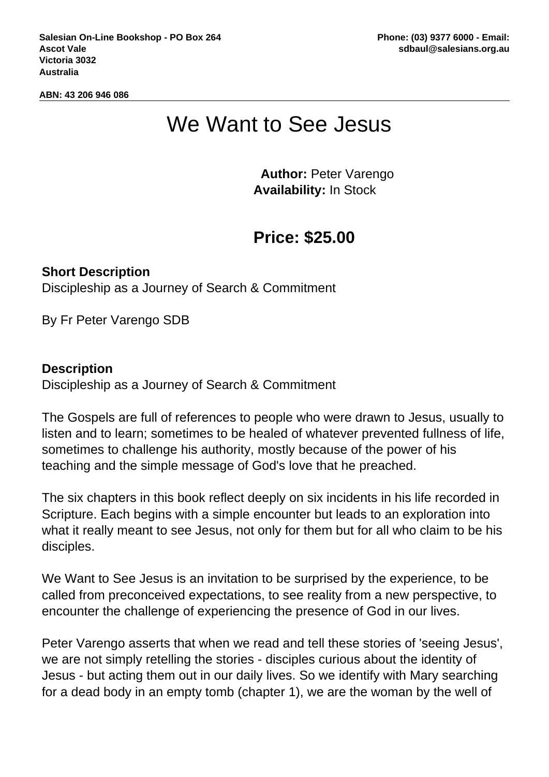**ABN: 43 206 946 086**

## We Want to See Jesus

 **Author:** Peter Varengo **Availability:** In Stock

## **Price: \$25.00**

**Short Description** Discipleship as a Journey of Search & Commitment

By Fr Peter Varengo SDB

## **Description**

Discipleship as a Journey of Search & Commitment

The Gospels are full of references to people who were drawn to Jesus, usually to listen and to learn; sometimes to be healed of whatever prevented fullness of life, sometimes to challenge his authority, mostly because of the power of his teaching and the simple message of God's love that he preached.

The six chapters in this book reflect deeply on six incidents in his life recorded in Scripture. Each begins with a simple encounter but leads to an exploration into what it really meant to see Jesus, not only for them but for all who claim to be his disciples.

We Want to See Jesus is an invitation to be surprised by the experience, to be called from preconceived expectations, to see reality from a new perspective, to encounter the challenge of experiencing the presence of God in our lives.

Peter Varengo asserts that when we read and tell these stories of 'seeing Jesus', we are not simply retelling the stories - disciples curious about the identity of Jesus - but acting them out in our daily lives. So we identify with Mary searching for a dead body in an empty tomb (chapter 1), we are the woman by the well of